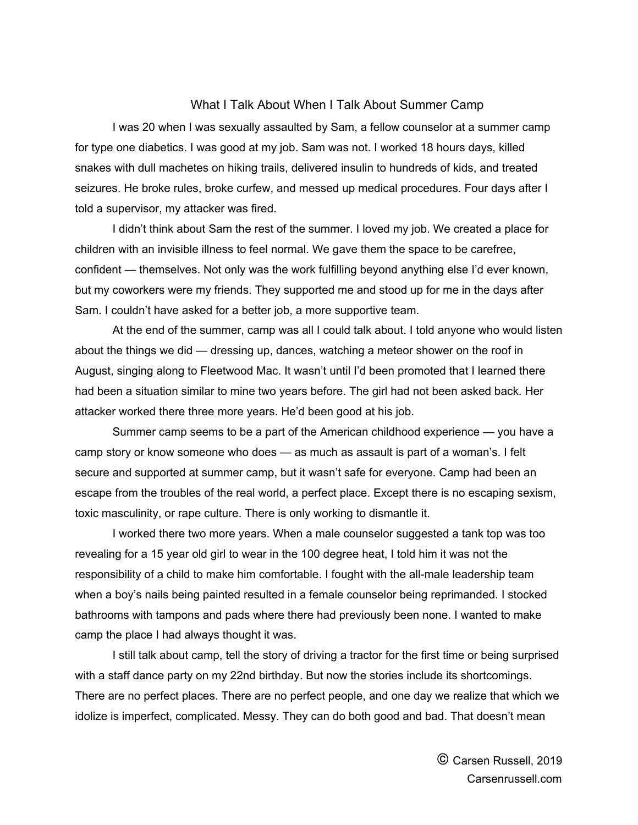## What I Talk About When I Talk About Summer Camp

I was 20 when I was sexually assaulted by Sam, a fellow counselor at a summer camp for type one diabetics. I was good at my job. Sam was not. I worked 18 hours days, killed snakes with dull machetes on hiking trails, delivered insulin to hundreds of kids, and treated seizures. He broke rules, broke curfew, and messed up medical procedures. Four days after I told a supervisor, my attacker was fired.

I didn't think about Sam the rest of the summer. I loved my job. We created a place for children with an invisible illness to feel normal. We gave them the space to be carefree, confident — themselves. Not only was the work fulfilling beyond anything else I'd ever known, but my coworkers were my friends. They supported me and stood up for me in the days after Sam. I couldn't have asked for a better job, a more supportive team.

At the end of the summer, camp was all I could talk about. I told anyone who would listen about the things we did — dressing up, dances, watching a meteor shower on the roof in August, singing along to Fleetwood Mac. It wasn't until I'd been promoted that I learned there had been a situation similar to mine two years before. The girl had not been asked back. Her attacker worked there three more years. He'd been good at his job.

Summer camp seems to be a part of the American childhood experience — you have a camp story or know someone who does — as much as assault is part of a woman's. I felt secure and supported at summer camp, but it wasn't safe for everyone. Camp had been an escape from the troubles of the real world, a perfect place. Except there is no escaping sexism, toxic masculinity, or rape culture. There is only working to dismantle it.

I worked there two more years. When a male counselor suggested a tank top was too revealing for a 15 year old girl to wear in the 100 degree heat, I told him it was not the responsibility of a child to make him comfortable. I fought with the all-male leadership team when a boy's nails being painted resulted in a female counselor being reprimanded. I stocked bathrooms with tampons and pads where there had previously been none. I wanted to make camp the place I had always thought it was.

I still talk about camp, tell the story of driving a tractor for the first time or being surprised with a staff dance party on my 22nd birthday. But now the stories include its shortcomings. There are no perfect places. There are no perfect people, and one day we realize that which we idolize is imperfect, complicated. Messy. They can do both good and bad. That doesn't mean